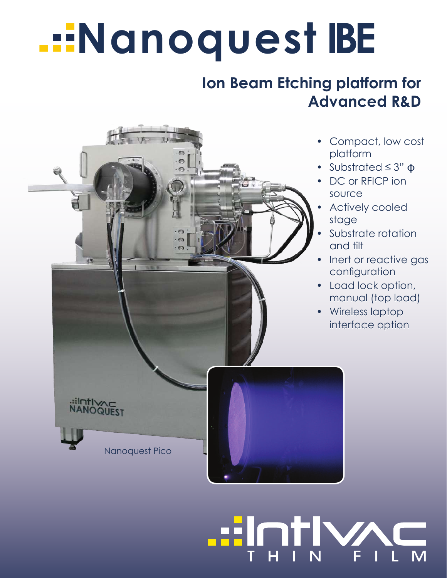# **Nanoquest BE**

### **Ion Beam Etching platform for Advanced R&D**

THIN FILM

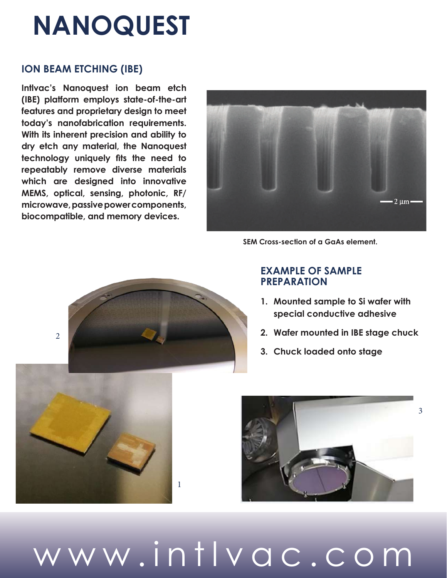## **NANOQUEST**

#### **ION BEAM ETCHING (IBE)**

**Intlvac's Nanoquest ion beam etch (IBE) platform employs state-of-the-art features and proprietary design to meet today's nanofabrication requirements. With its inherent precision and ability to dry etch any material, the Nanoquest technology uniquely fits the need to repeatably remove diverse materials which are designed into innovative MEMS, optical, sensing, photonic, RF/ microwave, passive power components, biocompatible, and memory devices.**



**SEM Cross-section of a GaAs element.**



#### **EXAMPLE OF SAMPLE PREPARATION**

- **1. Mounted sample to Si wafer with special conductive adhesive**
- **2. Wafer mounted in IBE stage chuck**
- **3. Chuck loaded onto stage**



www.intlvac.com

1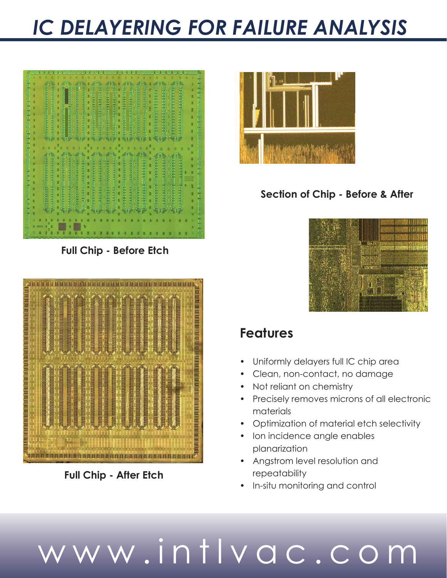### *IC DELAYERING FOR FAILURE ANALYSIS*



**Full Chip - Before Etch**



**Full Chip - After Etch**



### **Section of Chip - Before & After**



### **Features**

- Uniformly delayers full IC chip area
- Clean, non-contact, no damage
- Not reliant on chemistry
- Precisely removes microns of all electronic materials
- Optimization of material etch selectivity
- Ion incidence angle enables planarization
- Angstrom level resolution and repeatability
- In-situ monitoring and control

# www.intlvac.com